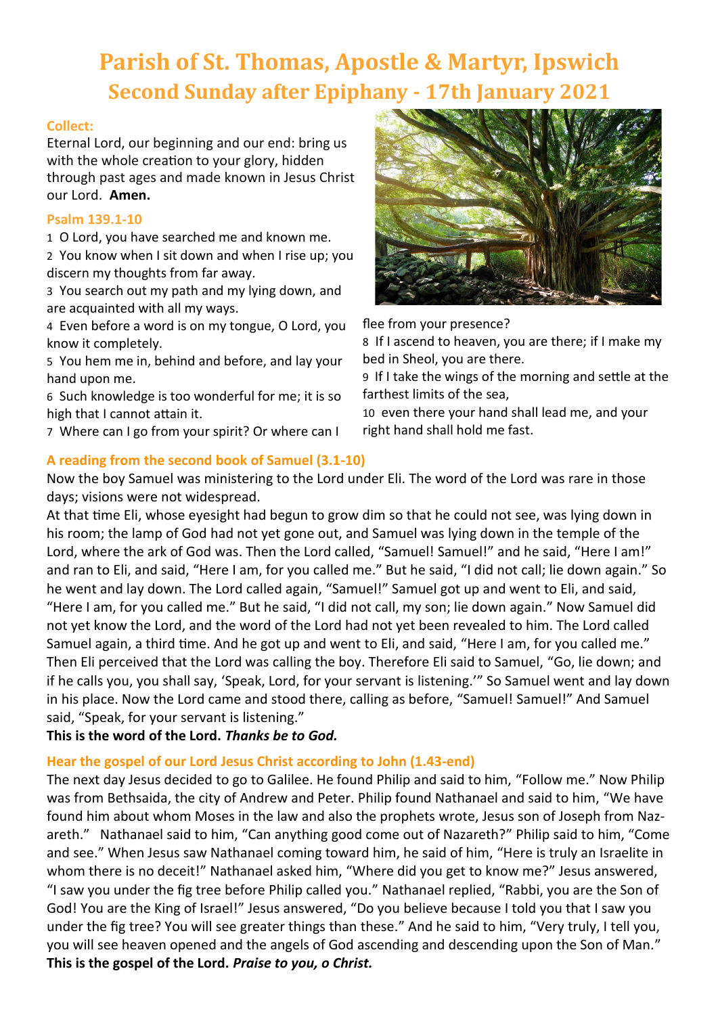# **Parish of St. Thomas, Apostle & Martyr, Ipswich Second Sunday after Epiphany - 17th January 2021**

## **Collect:**

Eternal Lord, our beginning and our end: bring us with the whole creation to your glory, hidden through past ages and made known in Jesus Christ our Lord. **Amen.**

## **Psalm 139.1-10**

1 O Lord, you have searched me and known me.

2 You know when I sit down and when I rise up; you discern my thoughts from far away.

3 You search out my path and my lying down, and are acquainted with all my ways.

4 Even before a word is on my tongue, O Lord, you know it completely.

5 You hem me in, behind and before, and lay your hand upon me.

6 Such knowledge is too wonderful for me; it is so high that I cannot attain it.

7 Where can I go from your spirit? Or where can I



flee from your presence?

8 If I ascend to heaven, you are there; if I make my bed in Sheol, you are there.

9 If I take the wings of the morning and settle at the farthest limits of the sea,

10 even there your hand shall lead me, and your right hand shall hold me fast.

**A reading from the second book of Samuel (3.1-10)** Now the boy Samuel was ministering to the Lord under Eli. The word of the Lord was rare in those days; visions were not widespread.

At that time Eli, whose eyesight had begun to grow dim so that he could not see, was lying down in his room; the lamp of God had not yet gone out, and Samuel was lying down in the temple of the Lord, where the ark of God was. Then the Lord called, "Samuel! Samuel!" and he said, "Here I am!" and ran to Eli, and said, "Here I am, for you called me." But he said, "I did not call; lie down again." So he went and lay down. The Lord called again, "Samuel!" Samuel got up and went to Eli, and said, "Here I am, for you called me." But he said, "I did not call, my son; lie down again." Now Samuel did not yet know the Lord, and the word of the Lord had not yet been revealed to him. The Lord called Samuel again, a third time. And he got up and went to Eli, and said, "Here I am, for you called me." Then Eli perceived that the Lord was calling the boy. Therefore Eli said to Samuel, "Go, lie down; and if he calls you, you shall say, 'Speak, Lord, for your servant is listening.'" So Samuel went and lay down in his place. Now the Lord came and stood there, calling as before, "Samuel! Samuel!" And Samuel said, "Speak, for your servant is listening."

## **This is the word of the Lord.** *Thanks be to God.*

## **Hear the gospel of our Lord Jesus Christ according to John (1.43-end)**

The next day Jesus decided to go to Galilee. He found Philip and said to him, "Follow me." Now Philip was from Bethsaida, the city of Andrew and Peter. Philip found Nathanael and said to him, "We have found him about whom Moses in the law and also the prophets wrote, Jesus son of Joseph from Nazareth." Nathanael said to him, "Can anything good come out of Nazareth?" Philip said to him, "Come and see." When Jesus saw Nathanael coming toward him, he said of him, "Here is truly an Israelite in whom there is no deceit!" Nathanael asked him, "Where did you get to know me?" Jesus answered, "I saw you under the fig tree before Philip called you." Nathanael replied, "Rabbi, you are the Son of God! You are the King of Israel!" Jesus answered, "Do you believe because I told you that I saw you under the fig tree? You will see greater things than these." And he said to him, "Very truly, I tell you, you will see heaven opened and the angels of God ascending and descending upon the Son of Man." **This is the gospel of the Lord.** *Praise to you, o Christ.*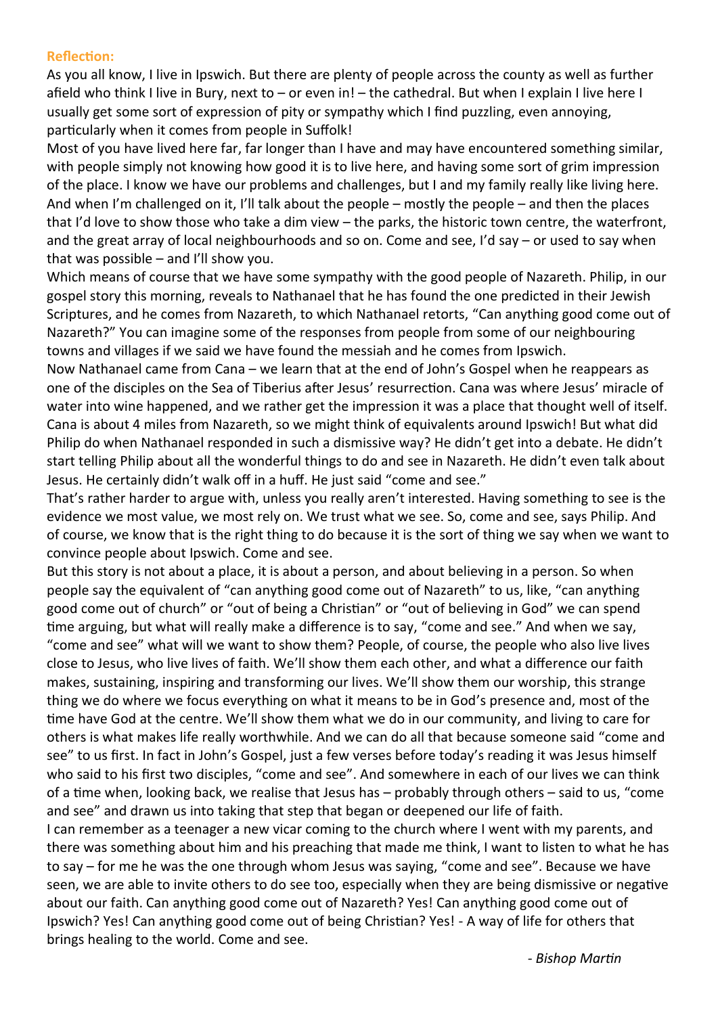#### **Reflection:**

As you all know, I live in Ipswich. But there are plenty of people across the county as well as further afield who think I live in Bury, next to – or even in! – the cathedral. But when I explain I live here I usually get some sort of expression of pity or sympathy which I find puzzling, even annoying, particularly when it comes from people in Suffolk!

Most of you have lived here far, far longer than I have and may have encountered something similar, with people simply not knowing how good it is to live here, and having some sort of grim impression of the place. I know we have our problems and challenges, but I and my family really like living here. And when I'm challenged on it, I'll talk about the people – mostly the people – and then the places that I'd love to show those who take a dim view – the parks, the historic town centre, the waterfront, and the great array of local neighbourhoods and so on. Come and see, I'd say – or used to say when that was possible – and I'll show you.

Which means of course that we have some sympathy with the good people of Nazareth. Philip, in our gospel story this morning, reveals to Nathanael that he has found the one predicted in their Jewish Scriptures, and he comes from Nazareth, to which Nathanael retorts, "Can anything good come out of Nazareth?" You can imagine some of the responses from people from some of our neighbouring towns and villages if we said we have found the messiah and he comes from Ipswich.

Now Nathanael came from Cana – we learn that at the end of John's Gospel when he reappears as one of the disciples on the Sea of Tiberius after Jesus' resurrection. Cana was where Jesus' miracle of water into wine happened, and we rather get the impression it was a place that thought well of itself. Cana is about 4 miles from Nazareth, so we might think of equivalents around Ipswich! But what did Philip do when Nathanael responded in such a dismissive way? He didn't get into a debate. He didn't start telling Philip about all the wonderful things to do and see in Nazareth. He didn't even talk about Jesus. He certainly didn't walk off in a huff. He just said "come and see."

That's rather harder to argue with, unless you really aren't interested. Having something to see is the evidence we most value, we most rely on. We trust what we see. So, come and see, says Philip. And of course, we know that is the right thing to do because it is the sort of thing we say when we want to convince people about Ipswich. Come and see.

But this story is not about a place, it is about a person, and about believing in a person. So when people say the equivalent of "can anything good come out of Nazareth" to us, like, "can anything good come out of church" or "out of being a Christian" or "out of believing in God" we can spend time arguing, but what will really make a difference is to say, "come and see." And when we say, "come and see" what will we want to show them? People, of course, the people who also live lives close to Jesus, who live lives of faith. We'll show them each other, and what a difference our faith makes, sustaining, inspiring and transforming our lives. We'll show them our worship, this strange thing we do where we focus everything on what it means to be in God's presence and, most of the time have God at the centre. We'll show them what we do in our community, and living to care for others is what makes life really worthwhile. And we can do all that because someone said "come and see" to us first. In fact in John's Gospel, just a few verses before today's reading it was Jesus himself who said to his first two disciples, "come and see". And somewhere in each of our lives we can think of a time when, looking back, we realise that Jesus has – probably through others – said to us, "come and see" and drawn us into taking that step that began or deepened our life of faith.

I can remember as a teenager a new vicar coming to the church where I went with my parents, and there was something about him and his preaching that made me think, I want to listen to what he has to say – for me he was the one through whom Jesus was saying, "come and see". Because we have seen, we are able to invite others to do see too, especially when they are being dismissive or negative about our faith. Can anything good come out of Nazareth? Yes! Can anything good come out of Ipswich? Yes! Can anything good come out of being Christian? Yes! - A way of life for others that brings healing to the world. Come and see.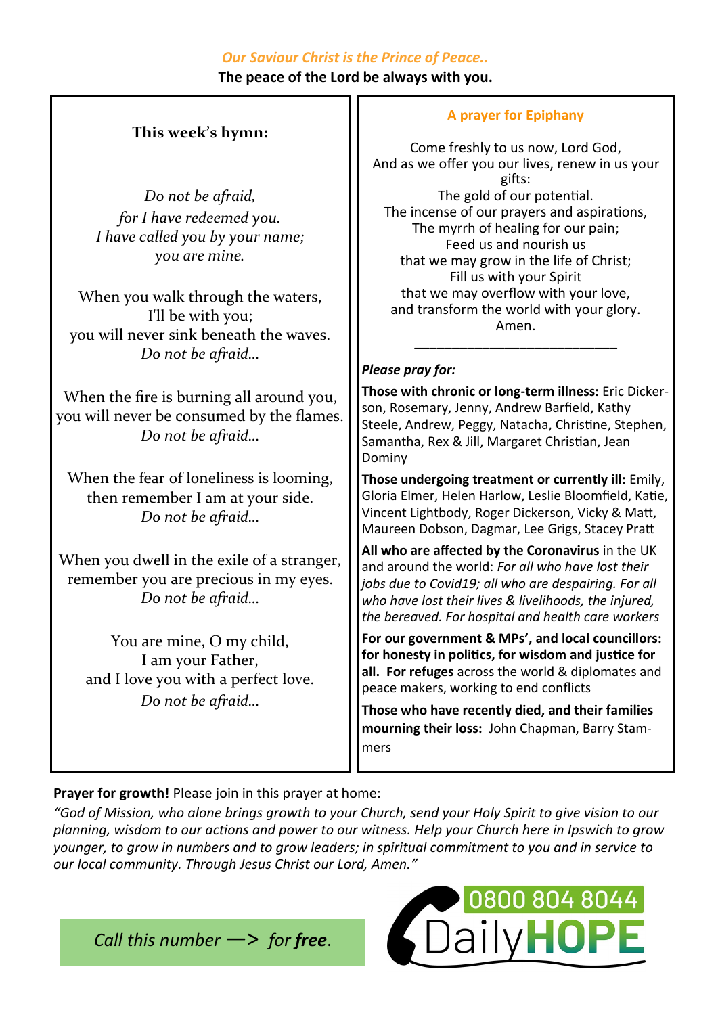## *Our Saviour Christ is the Prince of Peace..*

**The peace of the Lord be always with you.**

# **This week's hymn:**

*Do not be afraid, for I have redeemed you. I have called you by your name; you are mine.*

When you walk through the waters, I'll be with you; you will never sink beneath the waves. *Do not be afraid…*

When the fire is burning all around you, you will never be consumed by the flames. *Do not be afraid…*

When the fear of loneliness is looming, then remember I am at your side. *Do not be afraid…*

When you dwell in the exile of a stranger, remember you are precious in my eyes. *Do not be afraid…*

You are mine, O my child, I am your Father, and I love you with a perfect love. *Do not be afraid…*

## **A prayer for Epiphany**

Come freshly to us now, Lord God, And as we offer you our lives, renew in us your gifts: The gold of our potential. The incense of our prayers and aspirations, The myrrh of healing for our pain; Feed us and nourish us that we may grow in the life of Christ; Fill us with your Spirit that we may overflow with your love, and transform the world with your glory. Amen. **\_\_\_\_\_\_\_\_\_\_\_\_\_\_\_\_\_\_\_\_\_\_\_\_\_\_\_**

## *Please pray for:*

**Those with chronic or long-term illness:** Eric Dickerson, Rosemary, Jenny, Andrew Barfield, Kathy Steele, Andrew, Peggy, Natacha, Christine, Stephen, Samantha, Rex & Jill, Margaret Christian, Jean Dominy

**Those undergoing treatment or currently ill:** Emily, Gloria Elmer, Helen Harlow, Leslie Bloomfield, Katie, Vincent Lightbody, Roger Dickerson, Vicky & Matt, Maureen Dobson, Dagmar, Lee Grigs, Stacey Pratt

**All who are affected by the Coronavirus** in the UK and around the world: *For all who have lost their jobs due to Covid19; all who are despairing. For all who have lost their lives & livelihoods, the injured, the bereaved. For hospital and health care workers*

**For our government & MPs', and local councillors: for honesty in politics, for wisdom and justice for all. For refuges** across the world & diplomates and peace makers, working to end conflicts

**Those who have recently died, and their families mourning their loss:** John Chapman, Barry Stammers

## **Prayer for growth!** Please join in this prayer at home:

*"God of Mission, who alone brings growth to your Church, send your Holy Spirit to give vision to our planning, wisdom to our actions and power to our witness. Help your Church here in Ipswich to grow younger, to grow in numbers and to grow leaders; in spiritual commitment to you and in service to our local community. Through Jesus Christ our Lord, Amen."*

*Call this number* —> *for free*.